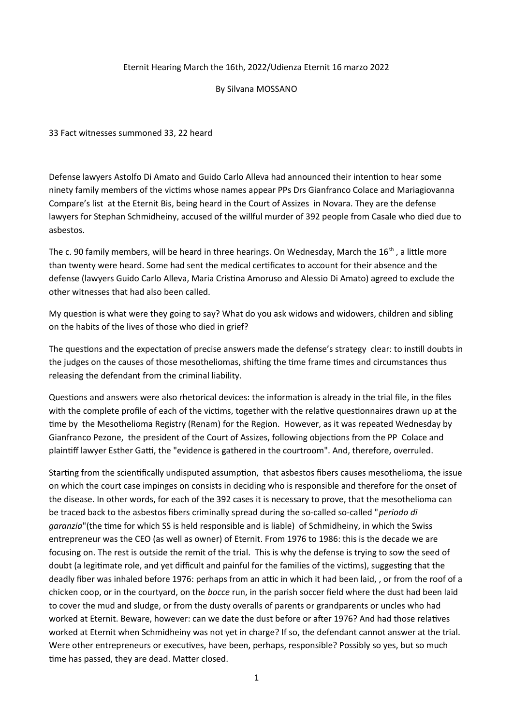## Eternit Hearing March the 16th, 2022/Udienza Eternit 16 marzo 2022

#### By Silvana MOSSANO

33 Fact witnesses summoned 33, 22 heard

Defense lawyers Astolfo Di Amato and Guido Carlo Alleva had announced their intention to hear some ninety family members of the victims whose names appear PPs Drs Gianfranco Colace and Mariagiovanna Compare's list at the Eternit Bis, being heard in the Court of Assizes in Novara. They are the defense lawyers for Stephan Schmidheiny, accused of the willful murder of 392 people from Casale who died due to asbestos.

The c. 90 family members, will be heard in three hearings. On Wednesday, March the 16<sup>th</sup>, a little more than twenty were heard. Some had sent the medical certificates to account for their absence and the defense (lawyers Guido Carlo Alleva, Maria Cristina Amoruso and Alessio Di Amato) agreed to exclude the other witnesses that had also been called.

My question is what were they going to say? What do you ask widows and widowers, children and sibling on the habits of the lives of those who died in grief?

The questions and the expectation of precise answers made the defense's strategy clear: to instill doubts in the judges on the causes of those mesotheliomas, shifting the time frame times and circumstances thus releasing the defendant from the criminal liability.

Questions and answers were also rhetorical devices: the information is already in the trial file, in the files with the complete profile of each of the victims, together with the relative questionnaires drawn up at the time by the Mesothelioma Registry (Renam) for the Region. However, as it was repeated Wednesday by Gianfranco Pezone, the president of the Court of Assizes, following objections from the PP Colace and plaintiff lawyer Esther Gatti, the "evidence is gathered in the courtroom". And, therefore, overruled.

Starting from the scientifically undisputed assumption, that asbestos fibers causes mesothelioma, the issue on which the court case impinges on consists in deciding who is responsible and therefore for the onset of the disease. In other words, for each of the 392 cases it is necessary to prove, that the mesothelioma can be traced back to the asbestos fibers criminally spread during the so-called so-called "*periodo di garanzia*"(the time for which SS is held responsible and is liable) of Schmidheiny, in which the Swiss entrepreneur was the CEO (as well as owner) of Eternit. From 1976 to 1986: this is the decade we are focusing on. The rest is outside the remit of the trial. This is why the defense is trying to sow the seed of doubt (a legitimate role, and yet difficult and painful for the families of the victims), suggesting that the deadly fiber was inhaled before 1976: perhaps from an attic in which it had been laid, , or from the roof of a chicken coop, or in the courtyard, on the *bocce* run, in the parish soccer field where the dust had been laid to cover the mud and sludge, or from the dusty overalls of parents or grandparents or uncles who had worked at Eternit. Beware, however: can we date the dust before or after 1976? And had those relatives worked at Eternit when Schmidheiny was not yet in charge? If so, the defendant cannot answer at the trial. Were other entrepreneurs or executives, have been, perhaps, responsible? Possibly so yes, but so much time has passed, they are dead. Matter closed.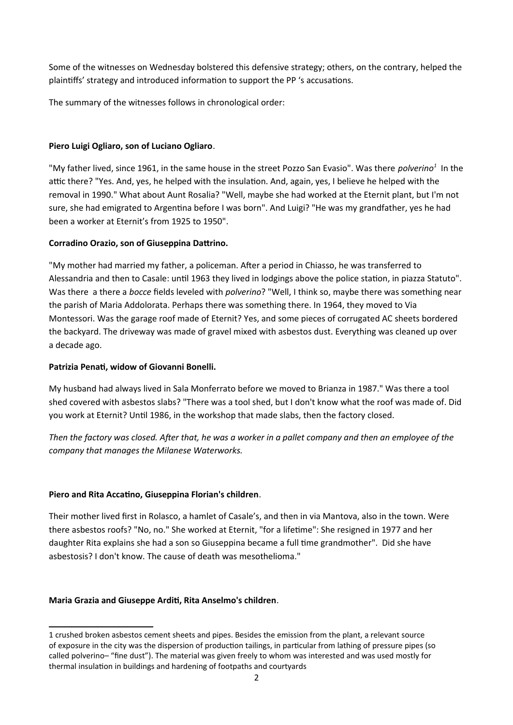Some of the witnesses on Wednesday bolstered this defensive strategy; others, on the contrary, helped the plaintiffs' strategy and introduced information to support the PP 's accusations.

The summary of the witnesses follows in chronological order:

## **Piero Luigi Ogliaro, son of Luciano Ogliaro**.

"My father lived, since 1961, in the same house in the street Pozzo San Evasio". Was there *polverino[1](#page-1-0)* In the attic there? "Yes. And, yes, he helped with the insulation. And, again, yes, I believe he helped with the removal in 1990." What about Aunt Rosalia? "Well, maybe she had worked at the Eternit plant, but I'm not sure, she had emigrated to Argentina before I was born". And Luigi? "He was my grandfather, yes he had been a worker at Eternit's from 1925 to 1950".

## **Corradino Orazio, son of Giuseppina Dattrino.**

"My mother had married my father, a policeman. After a period in Chiasso, he was transferred to Alessandria and then to Casale: until 1963 they lived in lodgings above the police station, in piazza Statuto". Was there a there a *bocce* fields leveled with *polverino*? "Well, I think so, maybe there was something near the parish of Maria Addolorata. Perhaps there was something there. In 1964, they moved to Via Montessori. Was the garage roof made of Eternit? Yes, and some pieces of corrugated AC sheets bordered the backyard. The driveway was made of gravel mixed with asbestos dust. Everything was cleaned up over a decade ago.

## **Patrizia Penati, widow of Giovanni Bonelli.**

My husband had always lived in Sala Monferrato before we moved to Brianza in 1987." Was there a tool shed covered with asbestos slabs? "There was a tool shed, but I don't know what the roof was made of. Did you work at Eternit? Until 1986, in the workshop that made slabs, then the factory closed.

*Then the factory was closed. After that, he was a worker in a pallet company and then an employee of the company that manages the Milanese Waterworks.* 

# **Piero and Rita Accatino, Giuseppina Florian's children**.

Their mother lived first in Rolasco, a hamlet of Casale's, and then in via Mantova, also in the town. Were there asbestos roofs? "No, no." She worked at Eternit, "for a lifetime": She resigned in 1977 and her daughter Rita explains she had a son so Giuseppina became a full time grandmother". Did she have asbestosis? I don't know. The cause of death was mesothelioma."

# **Maria Grazia and Giuseppe Arditi, Rita Anselmo's children**.

<span id="page-1-0"></span><sup>1</sup> crushed broken asbestos cement sheets and pipes. Besides the emission from the plant, a relevant source of exposure in the city was the dispersion of production tailings, in particular from lathing of pressure pipes (so called polverino– "fine dust"). The material was given freely to whom was interested and was used mostly for thermal insulation in buildings and hardening of footpaths and courtyards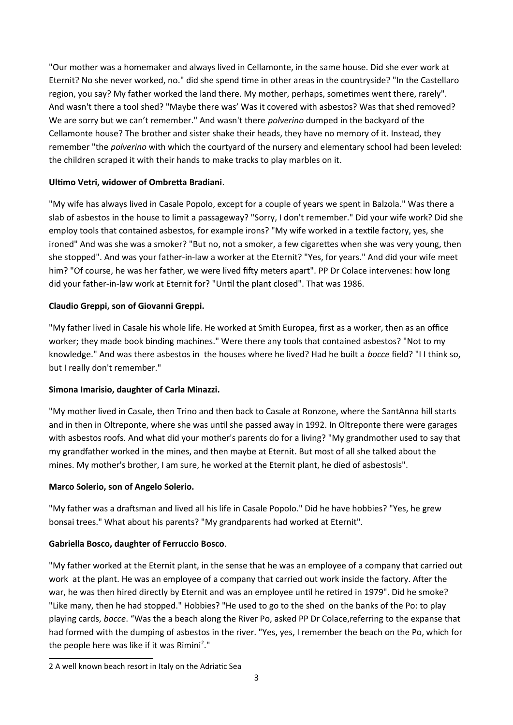"Our mother was a homemaker and always lived in Cellamonte, in the same house. Did she ever work at Eternit? No she never worked, no." did she spend time in other areas in the countryside? "In the Castellaro region, you say? My father worked the land there. My mother, perhaps, sometimes went there, rarely". And wasn't there a tool shed? "Maybe there was' Was it covered with asbestos? Was that shed removed? We are sorry but we can't remember." And wasn't there *polverino* dumped in the backyard of the Cellamonte house? The brother and sister shake their heads, they have no memory of it. Instead, they remember "the *polverino* with which the courtyard of the nursery and elementary school had been leveled: the children scraped it with their hands to make tracks to play marbles on it.

## **Ultimo Vetri, widower of Ombretta Bradiani**.

"My wife has always lived in Casale Popolo, except for a couple of years we spent in Balzola." Was there a slab of asbestos in the house to limit a passageway? "Sorry, I don't remember." Did your wife work? Did she employ tools that contained asbestos, for example irons? "My wife worked in a textile factory, yes, she ironed" And was she was a smoker? "But no, not a smoker, a few cigarettes when she was very young, then she stopped". And was your father-in-law a worker at the Eternit? "Yes, for years." And did your wife meet him? "Of course, he was her father, we were lived fifty meters apart". PP Dr Colace intervenes: how long did your father-in-law work at Eternit for? "Until the plant closed". That was 1986.

## **Claudio Greppi, son of Giovanni Greppi.**

"My father lived in Casale his whole life. He worked at Smith Europea, first as a worker, then as an office worker; they made book binding machines." Were there any tools that contained asbestos? "Not to my knowledge." And was there asbestos in the houses where he lived? Had he built a *bocce* field? "I I think so, but I really don't remember."

# **Simona Imarisio, daughter of Carla Minazzi.**

"My mother lived in Casale, then Trino and then back to Casale at Ronzone, where the SantAnna hill starts and in then in Oltreponte, where she was until she passed away in 1992. In Oltreponte there were garages with asbestos roofs. And what did your mother's parents do for a living? "My grandmother used to say that my grandfather worked in the mines, and then maybe at Eternit. But most of all she talked about the mines. My mother's brother, I am sure, he worked at the Eternit plant, he died of asbestosis".

## **Marco Solerio, son of Angelo Solerio.**

"My father was a draftsman and lived all his life in Casale Popolo." Did he have hobbies? "Yes, he grew bonsai trees." What about his parents? "My grandparents had worked at Eternit".

# **Gabriella Bosco, daughter of Ferruccio Bosco**.

"My father worked at the Eternit plant, in the sense that he was an employee of a company that carried out work at the plant. He was an employee of a company that carried out work inside the factory. After the war, he was then hired directly by Eternit and was an employee until he retired in 1979". Did he smoke? "Like many, then he had stopped." Hobbies? "He used to go to the shed on the banks of the Po: to play playing cards, *bocce*. "Was the a beach along the River Po, asked PP Dr Colace,referring to the expanse that had formed with the dumping of asbestos in the river. "Yes, yes, I remember the beach on the Po, which for the people here was like if it was Rimini<sup>[2](#page-2-0)</sup>."

<span id="page-2-0"></span><sup>2</sup> A well known beach resort in Italy on the Adriatic Sea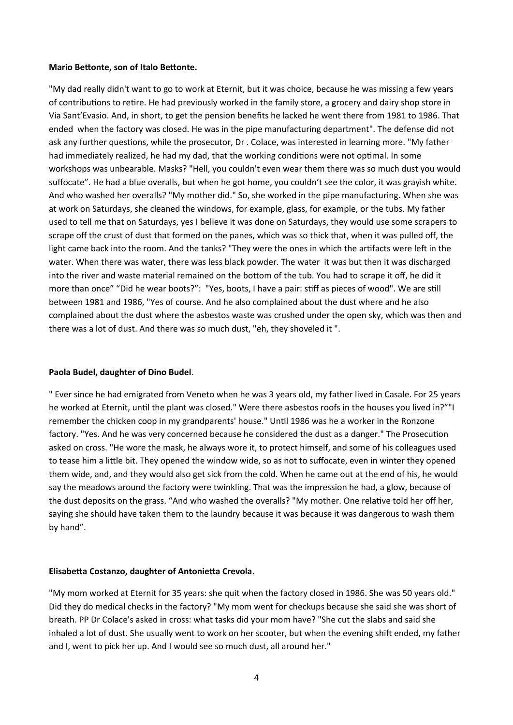#### **Mario Bettonte, son of Italo Bettonte.**

"My dad really didn't want to go to work at Eternit, but it was choice, because he was missing a few years of contributions to retire. He had previously worked in the family store, a grocery and dairy shop store in Via Sant'Evasio. And, in short, to get the pension benefits he lacked he went there from 1981 to 1986. That ended when the factory was closed. He was in the pipe manufacturing department". The defense did not ask any further questions, while the prosecutor, Dr . Colace, was interested in learning more. "My father had immediately realized, he had my dad, that the working conditions were not optimal. In some workshops was unbearable. Masks? "Hell, you couldn't even wear them there was so much dust you would suffocate". He had a blue overalls, but when he got home, you couldn't see the color, it was grayish white. And who washed her overalls? "My mother did." So, she worked in the pipe manufacturing. When she was at work on Saturdays, she cleaned the windows, for example, glass, for example, or the tubs. My father used to tell me that on Saturdays, yes I believe it was done on Saturdays, they would use some scrapers to scrape off the crust of dust that formed on the panes, which was so thick that, when it was pulled off, the light came back into the room. And the tanks? "They were the ones in which the artifacts were left in the water. When there was water, there was less black powder. The water it was but then it was discharged into the river and waste material remained on the bottom of the tub. You had to scrape it off, he did it more than once" "Did he wear boots?": "Yes, boots, I have a pair: stiff as pieces of wood". We are still between 1981 and 1986, "Yes of course. And he also complained about the dust where and he also complained about the dust where the asbestos waste was crushed under the open sky, which was then and there was a lot of dust. And there was so much dust, "eh, they shoveled it ".

## **Paola Budel, daughter of Dino Budel**.

" Ever since he had emigrated from Veneto when he was 3 years old, my father lived in Casale. For 25 years he worked at Eternit, until the plant was closed." Were there asbestos roofs in the houses you lived in?""I remember the chicken coop in my grandparents' house." Until 1986 was he a worker in the Ronzone factory. "Yes. And he was very concerned because he considered the dust as a danger." The Prosecution asked on cross. "He wore the mask, he always wore it, to protect himself, and some of his colleagues used to tease him a little bit. They opened the window wide, so as not to suffocate, even in winter they opened them wide, and, and they would also get sick from the cold. When he came out at the end of his, he would say the meadows around the factory were twinkling. That was the impression he had, a glow, because of the dust deposits on the grass. "And who washed the overalls? "My mother. One relative told her off her, saying she should have taken them to the laundry because it was because it was dangerous to wash them by hand".

## **Elisabetta Costanzo, daughter of Antonietta Crevola**.

"My mom worked at Eternit for 35 years: she quit when the factory closed in 1986. She was 50 years old." Did they do medical checks in the factory? "My mom went for checkups because she said she was short of breath. PP Dr Colace's asked in cross: what tasks did your mom have? "She cut the slabs and said she inhaled a lot of dust. She usually went to work on her scooter, but when the evening shift ended, my father and I, went to pick her up. And I would see so much dust, all around her."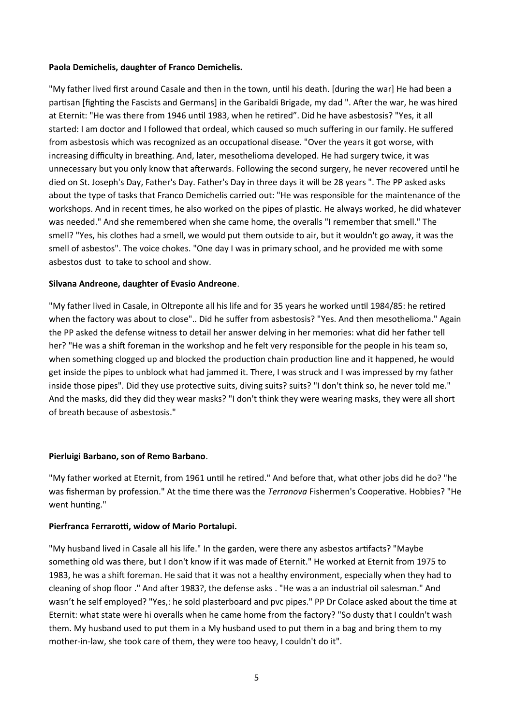## **Paola Demichelis, daughter of Franco Demichelis.**

"My father lived first around Casale and then in the town, until his death. [during the war] He had been a partisan [fighting the Fascists and Germans] in the Garibaldi Brigade, my dad ". After the war, he was hired at Eternit: "He was there from 1946 until 1983, when he retired". Did he have asbestosis? "Yes, it all started: I am doctor and I followed that ordeal, which caused so much suffering in our family. He suffered from asbestosis which was recognized as an occupational disease. "Over the years it got worse, with increasing difficulty in breathing. And, later, mesothelioma developed. He had surgery twice, it was unnecessary but you only know that afterwards. Following the second surgery, he never recovered until he died on St. Joseph's Day, Father's Day. Father's Day in three days it will be 28 years ". The PP asked asks about the type of tasks that Franco Demichelis carried out: "He was responsible for the maintenance of the workshops. And in recent times, he also worked on the pipes of plastic. He always worked, he did whatever was needed." And she remembered when she came home, the overalls "I remember that smell." The smell? "Yes, his clothes had a smell, we would put them outside to air, but it wouldn't go away, it was the smell of asbestos". The voice chokes. "One day I was in primary school, and he provided me with some asbestos dust to take to school and show.

## **Silvana Andreone, daughter of Evasio Andreone**.

"My father lived in Casale, in Oltreponte all his life and for 35 years he worked until 1984/85: he retired when the factory was about to close".. Did he suffer from asbestosis? "Yes. And then mesothelioma." Again the PP asked the defense witness to detail her answer delving in her memories: what did her father tell her? "He was a shift foreman in the workshop and he felt very responsible for the people in his team so, when something clogged up and blocked the production chain production line and it happened, he would get inside the pipes to unblock what had jammed it. There, I was struck and I was impressed by my father inside those pipes". Did they use protective suits, diving suits? suits? "I don't think so, he never told me." And the masks, did they did they wear masks? "I don't think they were wearing masks, they were all short of breath because of asbestosis."

## **Pierluigi Barbano, son of Remo Barbano**.

"My father worked at Eternit, from 1961 until he retired." And before that, what other jobs did he do? "he was fisherman by profession." At the time there was the *Terranova* Fishermen's Cooperative. Hobbies? "He went hunting."

## **Pierfranca Ferrarotti, widow of Mario Portalupi.**

"My husband lived in Casale all his life." In the garden, were there any asbestos artifacts? "Maybe something old was there, but I don't know if it was made of Eternit." He worked at Eternit from 1975 to 1983, he was a shift foreman. He said that it was not a healthy environment, especially when they had to cleaning of shop floor ." And after 1983?, the defense asks . "He was a an industrial oil salesman." And wasn't he self employed? "Yes,: he sold plasterboard and pvc pipes." PP Dr Colace asked about the time at Eternit: what state were hi overalls when he came home from the factory? "So dusty that I couldn't wash them. My husband used to put them in a My husband used to put them in a bag and bring them to my mother-in-law, she took care of them, they were too heavy, I couldn't do it".